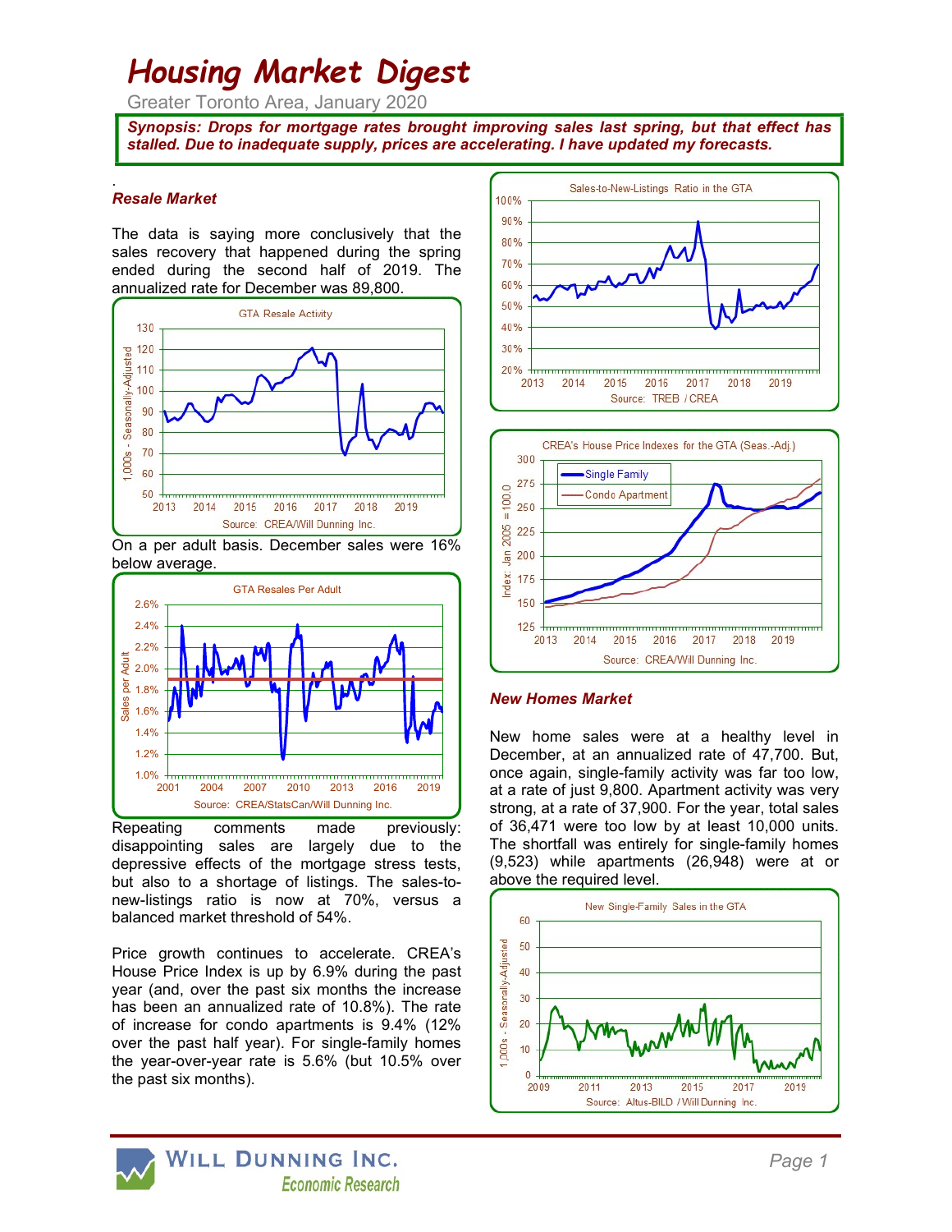# Housing Market Digest

Greater Toronto Area, January 2020

Synopsis: Drops for mortgage rates brought improving sales last spring, but that effect has stalled. Due to inadequate supply, prices are accelerating. I have updated my forecasts.

#### . Resale Market

The data is saying more conclusively that the sales recovery that happened during the spring ended during the second half of 2019. The annualized rate for December was 89,800.



On a per adult basis. December sales were 16% below average.



Repeating comments made previously: disappointing sales are largely due to the depressive effects of the mortgage stress tests, but also to a shortage of listings. The sales-tonew-listings ratio is now at 70%, versus a balanced market threshold of 54%.

Price growth continues to accelerate. CREA's House Price Index is up by 6.9% during the past year (and, over the past six months the increase has been an annualized rate of 10.8%). The rate of increase for condo apartments is 9.4% (12% over the past half year). For single-family homes the year-over-year rate is 5.6% (but 10.5% over the past six months).





1.0% <del>huun muun muun muun muun muun muun alee</del> once again, single-family activity was far too low, 1.2% **December, at an annualized rate of 47,700. But,**  $\frac{1.4\%}{1.4\%}$  New home sales were at a healthy level in at a rate of just 9,800. Apartment activity was very strong, at a rate of 37,900. For the year, total sales of 36,471 were too low by at least 10,000 units. The shortfall was entirely for single-family homes (9,523) while apartments (26,948) were at or above the required level.